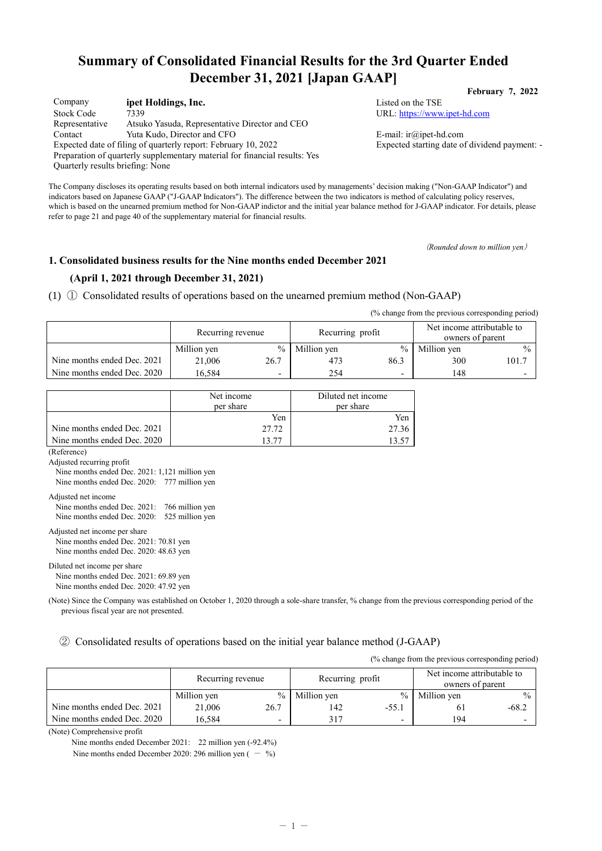# **Summary of Consolidated Financial Results for the 3rd Quarter Ended December 31, 2021 [Japan GAAP]**

| Company                                                                    | ipet Holdings, Inc.                                            |  |  |  |  |
|----------------------------------------------------------------------------|----------------------------------------------------------------|--|--|--|--|
| <b>Stock Code</b>                                                          | 7339                                                           |  |  |  |  |
| Representative                                                             | Atsuko Yasuda, Representative Director and CEO                 |  |  |  |  |
| Contact                                                                    | Yuta Kudo, Director and CFO                                    |  |  |  |  |
|                                                                            | Expected date of filing of quarterly report: February 10, 2022 |  |  |  |  |
| Preparation of quarterly supplementary material for financial results: Yes |                                                                |  |  |  |  |
| Quarterly results briefing: None                                           |                                                                |  |  |  |  |

Listed on the TSE URL: [https://www.ipet-hd.com](https://www.ipet-hd.com/)

E-mail: ir@ipet-hd.com Expected starting date of dividend payment: -

The Company discloses its operating results based on both internal indicators used by managements' decision making ("Non-GAAP Indicator") and indicators based on Japanese GAAP ("J-GAAP Indicators"). The difference between the two indicators is method of calculating policy reserves, which is based on the unearned premium method for Non-GAAP indictor and the initial year balance method for J-GAAP indicator. For details, please refer to page 21 and page 40 of the supplementary material for financial results.

(*Rounded down to million yen*)

**February 7, 2022**

#### **1. Consolidated business results for the Nine months ended December 2021**

### **(April 1, 2021 through December 31, 2021)**

(1) ① Consolidated results of operations based on the unearned premium method (Non-GAAP)

(% change from the previous corresponding period)

|                             | Recurring revenue |                          | Recurring profit |                          | Net income attributable to<br>owners of parent |               |
|-----------------------------|-------------------|--------------------------|------------------|--------------------------|------------------------------------------------|---------------|
|                             | Million yen       | $\%$                     | Million yen      | $\frac{0}{0}$            | Million yen                                    | $\frac{0}{0}$ |
| Nine months ended Dec. 2021 | 21.006            | 26.7                     | 473              | 86.3                     | 300                                            | 101.7         |
| Nine months ended Dec. 2020 | 16.584            | $\overline{\phantom{a}}$ | 254              | $\overline{\phantom{0}}$ | 148                                            |               |

|                             | Net income<br>per share | Diluted net income<br>per share |
|-----------------------------|-------------------------|---------------------------------|
|                             | Yen                     | Yen                             |
| Nine months ended Dec. 2021 | 27.72                   | 27.36                           |
| Nine months ended Dec. 2020 | 13 77                   | 13.57                           |

(Reference)

Adjusted recurring profit

Nine months ended Dec. 2021: 1,121 million yen Nine months ended Dec. 2020: 777 million yen

Adjusted net income

| Nine months ended Dec. 2021: 766 million yen |  |
|----------------------------------------------|--|
| Nine months ended Dec. 2020: 525 million yen |  |

Adjusted net income per share Nine months ended Dec. 2021: 70.81 yen Nine months ended Dec. 2020: 48.63 yen

#### Diluted net income per share Nine months ended Dec. 2021: 69.89 yen Nine months ended Dec. 2020: 47.92 yen

(Note) Since the Company was established on October 1, 2020 through a sole-share transfer, % change from the previous corresponding period of the previous fiscal year are not presented.

② Consolidated results of operations based on the initial year balance method (J-GAAP)

(% change from the previous corresponding period)

|                             | Recurring revenue |      | Recurring profit |                 | Net income attributable to<br>owners of parent |         |
|-----------------------------|-------------------|------|------------------|-----------------|------------------------------------------------|---------|
|                             | Million yen       | $\%$ | Million yen      | $\frac{9}{6}$ 1 | Million yen                                    | $\%$ .  |
| Nine months ended Dec. 2021 | 21,006            | 26.7 | 142              | $-55.1$         |                                                | $-68.2$ |
| Nine months ended Dec. 2020 | 16.584            | -    | 317              | -               | 194                                            |         |

(Note) Comprehensive profit

Nine months ended December 2021: 22 million yen (-92.4%)

Nine months ended December 2020: 296 million yen  $( - 96)$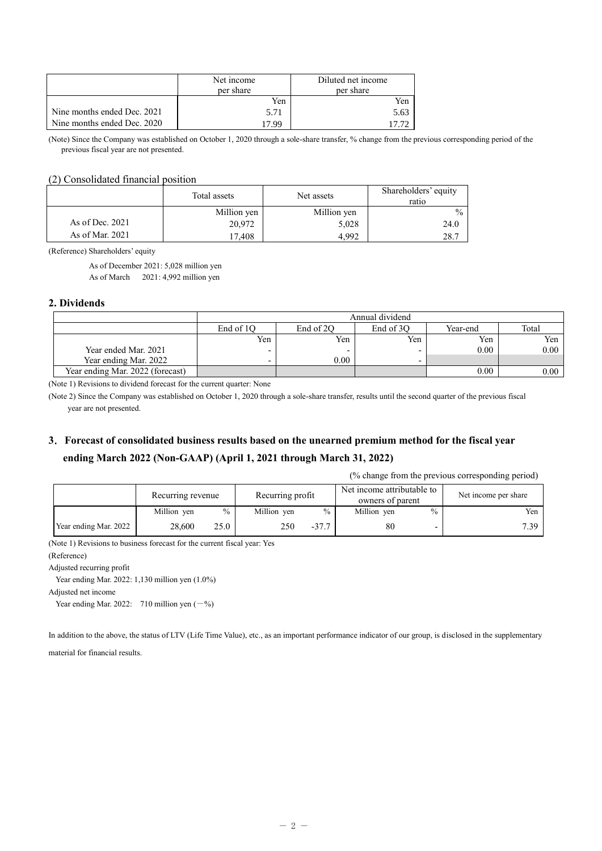|                             | Net income<br>per share | Diluted net income<br>per share |
|-----------------------------|-------------------------|---------------------------------|
|                             | Yen                     | Yen                             |
| Nine months ended Dec. 2021 | 5.71                    | 5.63                            |
| Nine months ended Dec. 2020 | 17 99                   |                                 |

(Note) Since the Company was established on October 1, 2020 through a sole-share transfer, % change from the previous corresponding period of the previous fiscal year are not presented.

#### (2) Consolidated financial position

|                   | Total assets | Net assets  | Shareholders' equity<br>ratio |
|-------------------|--------------|-------------|-------------------------------|
|                   | Million yen  | Million yen | $\frac{0}{0}$                 |
| As of Dec. $2021$ | 20,972       | 5,028       | 24.0                          |
| As of Mar. 2021   | 7.408        | 4.992       | 28.7                          |

(Reference) Shareholders' equity

As of December 2021: 5,028 million yen As of March 2021: 4,992 million yen

#### **2. Dividends**

|                                  |           |           | Annual dividend |          |       |
|----------------------------------|-----------|-----------|-----------------|----------|-------|
|                                  | End of 10 | End of 2O | End of 3O       | Year-end | Total |
|                                  | Yen       | Yen       | Yen             | Yen      | Yen   |
| Year ended Mar. 2021             | -         |           | -               | 0.00     | 0.00  |
| Year ending Mar. 2022            | -         | 0.00      | -               |          |       |
| Year ending Mar. 2022 (forecast) |           |           |                 | 0.00     | 0.00  |

(Note 1) Revisions to dividend forecast for the current quarter: None

(Note 2) Since the Company was established on October 1, 2020 through a sole-share transfer, results until the second quarter of the previous fiscal year are not presented.

## **3**.**Forecast of consolidated business results based on the unearned premium method for the fiscal year ending March 2022 (Non-GAAP) (April 1, 2021 through March 31, 2022)**

(% change from the previous corresponding period)

|                       | Recurring revenue |               | Recurring profit |         | Net income attributable to<br>owners of parent |      | Net income per share |
|-----------------------|-------------------|---------------|------------------|---------|------------------------------------------------|------|----------------------|
|                       | Million yen       | $\frac{0}{0}$ | Million yen      | $\%$    | Million yen                                    | $\%$ | Yen                  |
| Year ending Mar. 2022 | 28,600            | 25.0          | 250              | $-37.7$ | 80                                             |      | 7.39                 |

(Note 1) Revisions to business forecast for the current fiscal year: Yes

(Reference)

Adjusted recurring profit

Year ending Mar. 2022: 1,130 million yen (1.0%)

Adjusted net income

Year ending Mar. 2022: 710 million yen  $(-%)$ 

In addition to the above, the status of LTV (Life Time Value), etc., as an important performance indicator of our group, is disclosed in the supplementary material for financial results.

 $-2 -$